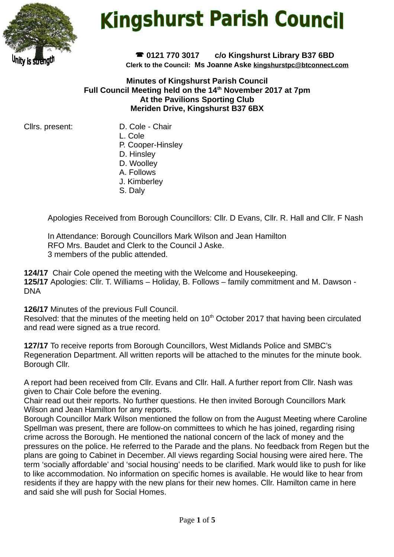

# **Kingshurst Parish Council**

 **0121 770 3017 c/o Kingshurst Library B37 6BD Clerk to the Council: Ms Joanne Aske [kingshurstpc@btconnect.com](mailto:kingshurstpc@btconnect.com)**

#### **Minutes of Kingshurst Parish Council Full Council Meeting held on the 14th November 2017 at 7pm At the Pavilions Sporting Club Meriden Drive, Kingshurst B37 6BX**

Cllrs. present: D. Cole - Chair

- 
- L. Cole
- P. Cooper-Hinsley
- D. Hinsley
- D. Woolley
- A. Follows
- J. Kimberley
- S. Daly

Apologies Received from Borough Councillors: Cllr. D Evans, Cllr. R. Hall and Cllr. F Nash

In Attendance: Borough Councillors Mark Wilson and Jean Hamilton RFO Mrs. Baudet and Clerk to the Council J Aske. 3 members of the public attended.

**124/17** Chair Cole opened the meeting with the Welcome and Housekeeping. **125/17** Apologies: Cllr. T. Williams – Holiday, B. Follows – family commitment and M. Dawson - DNA

**126/17** Minutes of the previous Full Council.

Resolved: that the minutes of the meeting held on 10<sup>th</sup> October 2017 that having been circulated and read were signed as a true record.

**127/17** To receive reports from Borough Councillors, West Midlands Police and SMBC's Regeneration Department. All written reports will be attached to the minutes for the minute book. Borough Cllr.

A report had been received from Cllr. Evans and Cllr. Hall. A further report from Cllr. Nash was given to Chair Cole before the evening.

Chair read out their reports. No further questions. He then invited Borough Councillors Mark Wilson and Jean Hamilton for any reports.

Borough Councillor Mark Wilson mentioned the follow on from the August Meeting where Caroline Spellman was present, there are follow-on committees to which he has joined, regarding rising crime across the Borough. He mentioned the national concern of the lack of money and the pressures on the police. He referred to the Parade and the plans. No feedback from Regen but the plans are going to Cabinet in December. All views regarding Social housing were aired here. The term 'socially affordable' and 'social housing' needs to be clarified. Mark would like to push for like to like accommodation. No information on specific homes is available. He would like to hear from residents if they are happy with the new plans for their new homes. Cllr. Hamilton came in here and said she will push for Social Homes.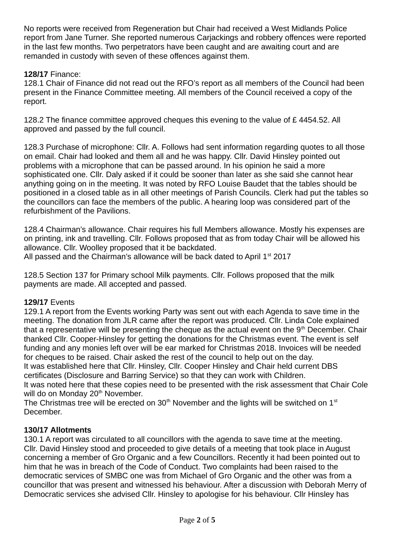No reports were received from Regeneration but Chair had received a West Midlands Police report from Jane Turner. She reported numerous Carjackings and robbery offences were reported in the last few months. Two perpetrators have been caught and are awaiting court and are remanded in custody with seven of these offences against them.

## **128/17** Finance:

128.1 Chair of Finance did not read out the RFO's report as all members of the Council had been present in the Finance Committee meeting. All members of the Council received a copy of the report.

128.2 The finance committee approved cheques this evening to the value of £4454.52. All approved and passed by the full council.

128.3 Purchase of microphone: Cllr. A. Follows had sent information regarding quotes to all those on email. Chair had looked and them all and he was happy. Cllr. David Hinsley pointed out problems with a microphone that can be passed around. In his opinion he said a more sophisticated one. Cllr. Daly asked if it could be sooner than later as she said she cannot hear anything going on in the meeting. It was noted by RFO Louise Baudet that the tables should be positioned in a closed table as in all other meetings of Parish Councils. Clerk had put the tables so the councillors can face the members of the public. A hearing loop was considered part of the refurbishment of the Pavilions.

128.4 Chairman's allowance. Chair requires his full Members allowance. Mostly his expenses are on printing, ink and travelling. Cllr. Follows proposed that as from today Chair will be allowed his allowance. Cllr. Woolley proposed that it be backdated. All passed and the Chairman's allowance will be back dated to April  $1<sup>st</sup>$  2017

128.5 Section 137 for Primary school Milk payments. Cllr. Follows proposed that the milk payments are made. All accepted and passed.

## **129/17** Events

129.1 A report from the Events working Party was sent out with each Agenda to save time in the meeting. The donation from JLR came after the report was produced. Cllr. Linda Cole explained that a representative will be presenting the cheque as the actual event on the  $9<sup>th</sup>$  December. Chair thanked Cllr. Cooper-Hinsley for getting the donations for the Christmas event. The event is self funding and any monies left over will be ear marked for Christmas 2018. Invoices will be needed for cheques to be raised. Chair asked the rest of the council to help out on the day.

It was established here that Cllr. Hinsley, Cllr. Cooper Hinsley and Chair held current DBS certificates (Disclosure and Barring Service) so that they can work with Children.

It was noted here that these copies need to be presented with the risk assessment that Chair Cole will do on Monday 20<sup>th</sup> November.

The Christmas tree will be erected on 30<sup>th</sup> November and the lights will be switched on  $1<sup>st</sup>$ December.

## **130/17 Allotments**

130.1 A report was circulated to all councillors with the agenda to save time at the meeting. Cllr. David Hinsley stood and proceeded to give details of a meeting that took place in August concerning a member of Gro Organic and a few Councillors. Recently it had been pointed out to him that he was in breach of the Code of Conduct. Two complaints had been raised to the democratic services of SMBC one was from Michael of Gro Organic and the other was from a councillor that was present and witnessed his behaviour. After a discussion with Deborah Merry of Democratic services she advised Cllr. Hinsley to apologise for his behaviour. Cllr Hinsley has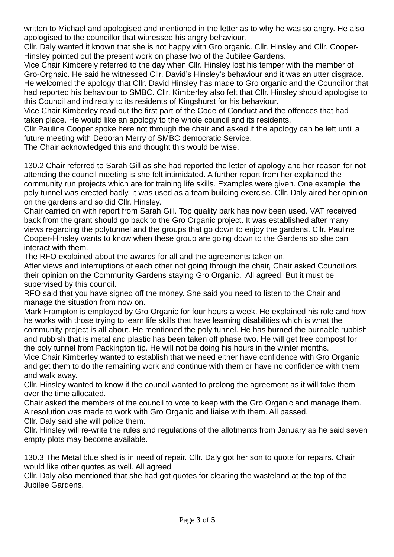written to Michael and apologised and mentioned in the letter as to why he was so angry. He also apologised to the councillor that witnessed his angry behaviour.

Cllr. Daly wanted it known that she is not happy with Gro organic. Cllr. Hinsley and Cllr. Cooper-Hinsley pointed out the present work on phase two of the Jubilee Gardens.

Vice Chair Kimberely referred to the day when Cllr. Hinsley lost his temper with the member of Gro-Orgnaic. He said he witnessed Cllr. David's Hinsley's behaviour and it was an utter disgrace. He welcomed the apology that Cllr. David Hinsley has made to Gro organic and the Councillor that had reported his behaviour to SMBC. Cllr. Kimberley also felt that Cllr. Hinsley should apologise to this Council and indirectly to its residents of Kingshurst for his behaviour.

Vice Chair Kimberley read out the first part of the Code of Conduct and the offences that had taken place. He would like an apology to the whole council and its residents.

Cllr Pauline Cooper spoke here not through the chair and asked if the apology can be left until a future meeting with Deborah Merry of SMBC democratic Service.

The Chair acknowledged this and thought this would be wise.

130.2 Chair referred to Sarah Gill as she had reported the letter of apology and her reason for not attending the council meeting is she felt intimidated. A further report from her explained the community run projects which are for training life skills. Examples were given. One example: the poly tunnel was erected badly, it was used as a team building exercise. Cllr. Daly aired her opinion on the gardens and so did Cllr. Hinsley.

Chair carried on with report from Sarah Gill. Top quality bark has now been used. VAT received back from the grant should go back to the Gro Organic project. It was established after many views regarding the polytunnel and the groups that go down to enjoy the gardens. Cllr. Pauline Cooper-Hinsley wants to know when these group are going down to the Gardens so she can interact with them.

The RFO explained about the awards for all and the agreements taken on.

After views and interruptions of each other not going through the chair, Chair asked Councillors their opinion on the Community Gardens staying Gro Organic. All agreed. But it must be supervised by this council.

RFO said that you have signed off the money. She said you need to listen to the Chair and manage the situation from now on.

Mark Frampton is employed by Gro Organic for four hours a week. He explained his role and how he works with those trying to learn life skills that have learning disabilities which is what the community project is all about. He mentioned the poly tunnel. He has burned the burnable rubbish and rubbish that is metal and plastic has been taken off phase two. He will get free compost for the poly tunnel from Packington tip. He will not be doing his hours in the winter months.

Vice Chair Kimberley wanted to establish that we need either have confidence with Gro Organic and get them to do the remaining work and continue with them or have no confidence with them and walk away.

Cllr. Hinsley wanted to know if the council wanted to prolong the agreement as it will take them over the time allocated.

Chair asked the members of the council to vote to keep with the Gro Organic and manage them. A resolution was made to work with Gro Organic and liaise with them. All passed.

Cllr. Daly said she will police them.

Cllr. Hinsley will re-write the rules and regulations of the allotments from January as he said seven empty plots may become available.

130.3 The Metal blue shed is in need of repair. Cllr. Daly got her son to quote for repairs. Chair would like other quotes as well. All agreed

Cllr. Daly also mentioned that she had got quotes for clearing the wasteland at the top of the Jubilee Gardens.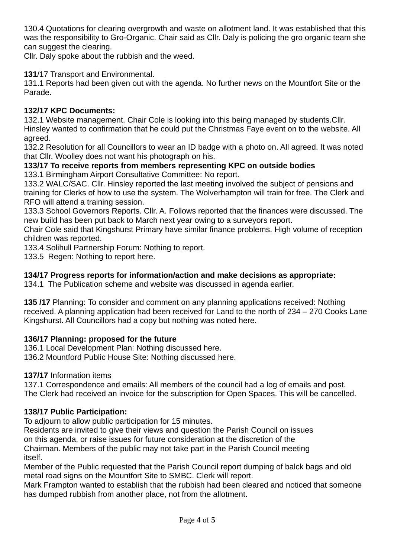130.4 Quotations for clearing overgrowth and waste on allotment land. It was established that this was the responsibility to Gro-Organic. Chair said as Cllr. Daly is policing the gro organic team she can suggest the clearing.

Cllr. Daly spoke about the rubbish and the weed.

## **131**/17 Transport and Environmental.

131.1 Reports had been given out with the agenda. No further news on the Mountfort Site or the Parade.

## **132/17 KPC Documents:**

132.1 Website management. Chair Cole is looking into this being managed by students.Cllr. Hinsley wanted to confirmation that he could put the Christmas Faye event on to the website. All agreed.

132.2 Resolution for all Councillors to wear an ID badge with a photo on. All agreed. It was noted that Cllr. Woolley does not want his photograph on his.

## **133/17 To receive reports from members representing KPC on outside bodies**

133.1 Birmingham Airport Consultative Committee: No report.

133.2 WALC/SAC. Cllr. Hinsley reported the last meeting involved the subject of pensions and training for Clerks of how to use the system. The Wolverhampton will train for free. The Clerk and RFO will attend a training session.

133.3 School Governors Reports. Cllr. A. Follows reported that the finances were discussed. The new build has been put back to March next year owing to a surveyors report.

Chair Cole said that Kingshurst Primary have similar finance problems. High volume of reception children was reported.

133.4 Solihull Partnership Forum: Nothing to report.

133.5 Regen: Nothing to report here.

## **134/17 Progress reports for information/action and make decisions as appropriate:**

134.1 The Publication scheme and website was discussed in agenda earlier.

**135 /17** Planning: To consider and comment on any planning applications received: Nothing received. A planning application had been received for Land to the north of 234 – 270 Cooks Lane Kingshurst. All Councillors had a copy but nothing was noted here.

## **136/17 Planning: proposed for the future**

136.1 Local Development Plan: Nothing discussed here.

136.2 Mountford Public House Site: Nothing discussed here.

## **137/17** Information items

137.1 Correspondence and emails: All members of the council had a log of emails and post. The Clerk had received an invoice for the subscription for Open Spaces. This will be cancelled.

## **138/17 Public Participation:**

To adjourn to allow public participation for 15 minutes.

Residents are invited to give their views and question the Parish Council on issues on this agenda, or raise issues for future consideration at the discretion of the Chairman. Members of the public may not take part in the Parish Council meeting itself.

Member of the Public requested that the Parish Council report dumping of balck bags and old metal road signs on the Mountfort Site to SMBC. Clerk will report.

Mark Frampton wanted to establish that the rubbish had been cleared and noticed that someone has dumped rubbish from another place, not from the allotment.